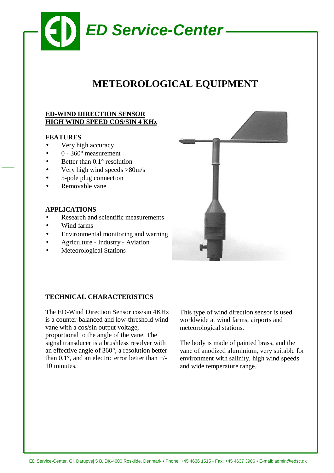

# **METEOROLOGICAL EQUIPMENT**

## **ED-WIND DIRECTION SENSOR HIGH WIND SPEED COS/SIN 4 KHz**

## **FEATURES**

- Very high accuracy
- $0 360^\circ$  measurement
- Better than  $0.1^\circ$  resolution
- Very high wind speeds  $>80$ m/s
- 5-pole plug connection
- Removable vane

#### **APPLICATIONS**

- Research and scientific measurements
- Wind farms
- Environmental monitoring and warning
- Agriculture Industry Aviation
- **Meteorological Stations**



## **TECHNICAL CHARACTERISTICS**

The ED-Wind Direction Sensor cos/sin 4KHz is a counter-balanced and low-threshold wind vane with a cos/sin output voltage, proportional to the angle of the vane. The signal transducer is a brushless resolver with an effective angle of 360°, a resolution better than 0.1°, and an electric error better than +/- 10 minutes.

This type of wind direction sensor is used worldwide at wind farms, airports and meteorological stations.

The body is made of painted brass, and the vane of anodized aluminium, very suitable for environment with salinity, high wind speeds and wide temperature range.